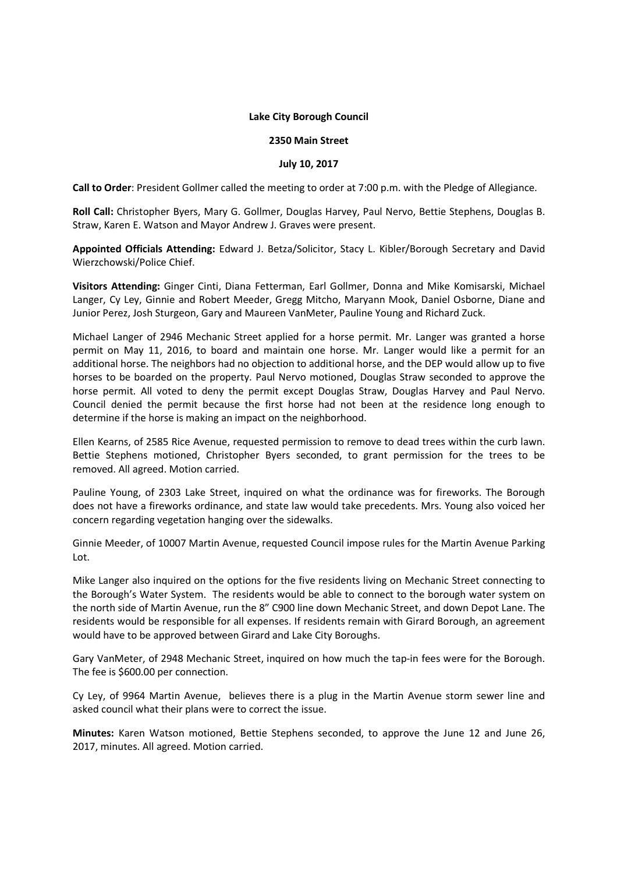## **Lake City Borough Council**

## **2350 Main Street**

## **July 10, 2017**

**Call to Order**: President Gollmer called the meeting to order at 7:00 p.m. with the Pledge of Allegiance.

**Roll Call:** Christopher Byers, Mary G. Gollmer, Douglas Harvey, Paul Nervo, Bettie Stephens, Douglas B. Straw, Karen E. Watson and Mayor Andrew J. Graves were present.

**Appointed Officials Attending:** Edward J. Betza/Solicitor, Stacy L. Kibler/Borough Secretary and David Wierzchowski/Police Chief.

**Visitors Attending:** Ginger Cinti, Diana Fetterman, Earl Gollmer, Donna and Mike Komisarski, Michael Langer, Cy Ley, Ginnie and Robert Meeder, Gregg Mitcho, Maryann Mook, Daniel Osborne, Diane and Junior Perez, Josh Sturgeon, Gary and Maureen VanMeter, Pauline Young and Richard Zuck.

Michael Langer of 2946 Mechanic Street applied for a horse permit. Mr. Langer was granted a horse permit on May 11, 2016, to board and maintain one horse. Mr. Langer would like a permit for an additional horse. The neighbors had no objection to additional horse, and the DEP would allow up to five horses to be boarded on the property. Paul Nervo motioned, Douglas Straw seconded to approve the horse permit. All voted to deny the permit except Douglas Straw, Douglas Harvey and Paul Nervo. Council denied the permit because the first horse had not been at the residence long enough to determine if the horse is making an impact on the neighborhood.

Ellen Kearns, of 2585 Rice Avenue, requested permission to remove to dead trees within the curb lawn. Bettie Stephens motioned, Christopher Byers seconded, to grant permission for the trees to be removed. All agreed. Motion carried.

Pauline Young, of 2303 Lake Street, inquired on what the ordinance was for fireworks. The Borough does not have a fireworks ordinance, and state law would take precedents. Mrs. Young also voiced her concern regarding vegetation hanging over the sidewalks.

Ginnie Meeder, of 10007 Martin Avenue, requested Council impose rules for the Martin Avenue Parking Lot.

Mike Langer also inquired on the options for the five residents living on Mechanic Street connecting to the Borough's Water System. The residents would be able to connect to the borough water system on the north side of Martin Avenue, run the 8" C900 line down Mechanic Street, and down Depot Lane. The residents would be responsible for all expenses. If residents remain with Girard Borough, an agreement would have to be approved between Girard and Lake City Boroughs.

Gary VanMeter, of 2948 Mechanic Street, inquired on how much the tap-in fees were for the Borough. The fee is \$600.00 per connection.

Cy Ley, of 9964 Martin Avenue, believes there is a plug in the Martin Avenue storm sewer line and asked council what their plans were to correct the issue.

**Minutes:** Karen Watson motioned, Bettie Stephens seconded, to approve the June 12 and June 26, 2017, minutes. All agreed. Motion carried.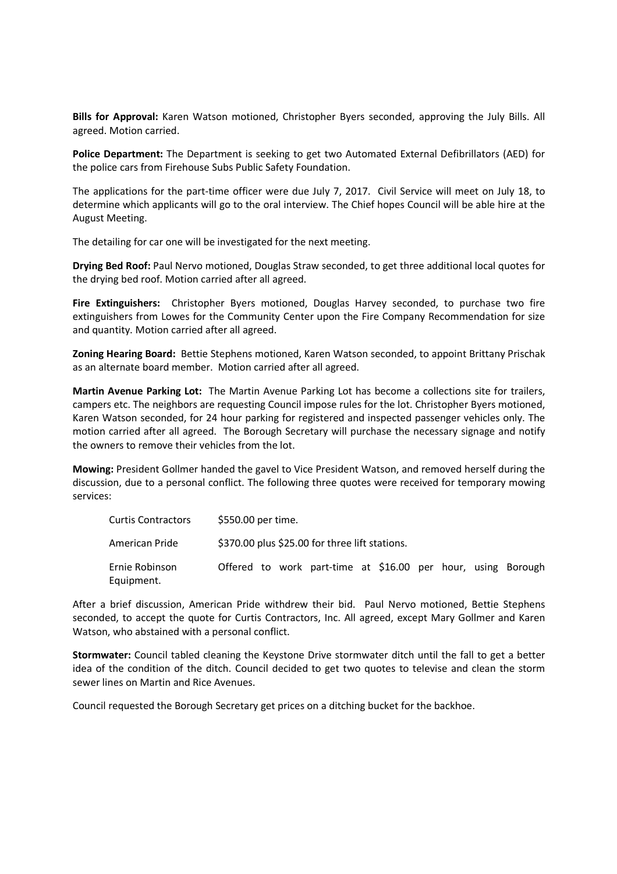**Bills for Approval:** Karen Watson motioned, Christopher Byers seconded, approving the July Bills. All agreed. Motion carried.

**Police Department:** The Department is seeking to get two Automated External Defibrillators (AED) for the police cars from Firehouse Subs Public Safety Foundation.

The applications for the part-time officer were due July 7, 2017. Civil Service will meet on July 18, to determine which applicants will go to the oral interview. The Chief hopes Council will be able hire at the August Meeting.

The detailing for car one will be investigated for the next meeting.

**Drying Bed Roof:** Paul Nervo motioned, Douglas Straw seconded, to get three additional local quotes for the drying bed roof. Motion carried after all agreed.

**Fire Extinguishers:** Christopher Byers motioned, Douglas Harvey seconded, to purchase two fire extinguishers from Lowes for the Community Center upon the Fire Company Recommendation for size and quantity. Motion carried after all agreed.

**Zoning Hearing Board:** Bettie Stephens motioned, Karen Watson seconded, to appoint Brittany Prischak as an alternate board member. Motion carried after all agreed.

**Martin Avenue Parking Lot:** The Martin Avenue Parking Lot has become a collections site for trailers, campers etc. The neighbors are requesting Council impose rules for the lot. Christopher Byers motioned, Karen Watson seconded, for 24 hour parking for registered and inspected passenger vehicles only. The motion carried after all agreed. The Borough Secretary will purchase the necessary signage and notify the owners to remove their vehicles from the lot.

**Mowing:** President Gollmer handed the gavel to Vice President Watson, and removed herself during the discussion, due to a personal conflict. The following three quotes were received for temporary mowing services:

| <b>Curtis Contractors</b>    | \$550.00 per time.                                           |
|------------------------------|--------------------------------------------------------------|
| American Pride               | \$370.00 plus \$25.00 for three lift stations.               |
| Ernie Robinson<br>Equipment. | Offered to work part-time at \$16.00 per hour, using Borough |

After a brief discussion, American Pride withdrew their bid. Paul Nervo motioned, Bettie Stephens seconded, to accept the quote for Curtis Contractors, Inc. All agreed, except Mary Gollmer and Karen Watson, who abstained with a personal conflict.

**Stormwater:** Council tabled cleaning the Keystone Drive stormwater ditch until the fall to get a better idea of the condition of the ditch. Council decided to get two quotes to televise and clean the storm sewer lines on Martin and Rice Avenues.

Council requested the Borough Secretary get prices on a ditching bucket for the backhoe.